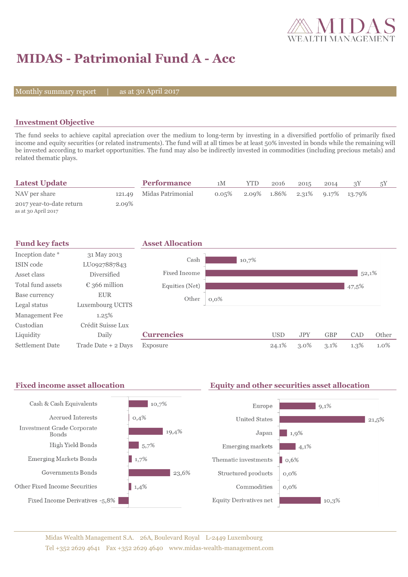

# **MIDAS - Patrimonial Fund A - Acc**

Monthly summary report  $|$ 

as at 30 April 2017

### **Investment Objective**

The fund seeks to achieve capital apreciation over the medium to long-term by investing in a diversified portfolio of primarily fixed income and equity securities (or related instruments). The fund will at all times be at least 50% invested in bonds while the remaining will be invested according to market opportunities. The fund may also be indirectly invested in commodities (including precious metals) and related thematic plays.

| <b>Latest Update</b>                            |          | <b>Performance</b> | 1M    | YTD | 2016        | 2015 | 2014 |                    | 5Y |
|-------------------------------------------------|----------|--------------------|-------|-----|-------------|------|------|--------------------|----|
| NAV per share                                   | 121.49   | Midas Patrimonial  | 0.05% |     | 2.09% 1.86% |      |      | 2.31% 9.17% 13.79% |    |
| 2017 year-to-date return<br>as at 30 April 2017 | $2.09\%$ |                    |       |     |             |      |      |                    |    |



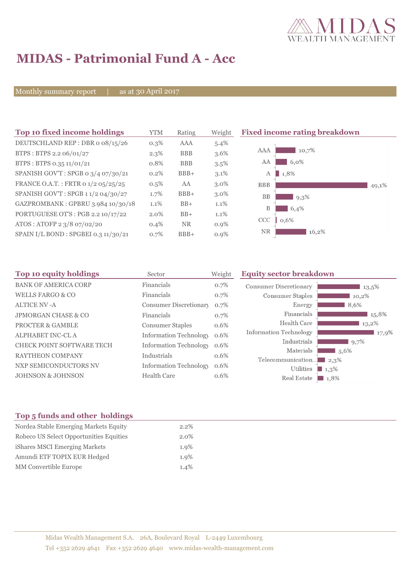

## **MIDAS - Patrimonial Fund A - Acc**

Monthly summary report | as at 30 April 2017

| Top 10 fixed income holdings         | <b>YTM</b> | Rating     | Weight  | <b>Fixed income rating breakdown</b> |
|--------------------------------------|------------|------------|---------|--------------------------------------|
| DEUTSCHLAND REP : DBR o 08/15/26     | $0.3\%$    | AAA        | 5.4%    |                                      |
| BTPS: BTPS 2.2 06/01/27              | $2.3\%$    | <b>BBB</b> | $3.6\%$ | AAA<br>10,7%                         |
| BTPS: BTPS 0.35 11/01/21             | 0.8%       | <b>BBB</b> | $3.5\%$ | 6,0%<br>AA                           |
| SPANISH GOV'T: SPGB 0 3/4 07/30/21   | 0.2%       | $BBB+$     | $3.1\%$ | 1,8%<br>A                            |
| FRANCE O.A.T.: FRTR 0 1/2 05/25/25   | $0.5\%$    | AA         | $3.0\%$ | <b>BBB</b><br>49,1%                  |
| SPANISH GOV'T: SPGB 11/2 04/30/27    | 1.7%       | $BBB+$     | $3.0\%$ | BB<br>$9,3\%$                        |
| GAZPROMBANK: GPBRU 3.984 10/30/18    | 1.1%       | $BB+$      | $1.1\%$ | B<br>6,4%                            |
| PORTUGUESE OT'S : PGB 2.2 10/17/22   | $2.0\%$    | $BB+$      | 1.1%    |                                      |
| ATOS: ATOFP 2 3/8 07/02/20           | $0.4\%$    | <b>NR</b>  | $0.9\%$ | CCC<br>0.6%                          |
| SPAIN I/L BOND : SPGBEI 0.3 11/30/21 | 0.7%       | $BBB+$     | $0.9\%$ | NR<br>16,2%                          |

| Sector                  | Weight      | <b>Equity sector breakdown</b>                                                                                                                   |                                                                                |  |
|-------------------------|-------------|--------------------------------------------------------------------------------------------------------------------------------------------------|--------------------------------------------------------------------------------|--|
| Financials              | 0.7%        | <b>Consumer Discretionary</b>                                                                                                                    | $13.5\%$                                                                       |  |
| Financials              | 0.7%        | Consumer Staples                                                                                                                                 | 10,2%                                                                          |  |
|                         | 0.7%        | Energy                                                                                                                                           | 8,6%                                                                           |  |
| Financials              | 0.7%        | Financials                                                                                                                                       | 15,8%                                                                          |  |
| <b>Consumer Staples</b> | 0.6%        | Health Care                                                                                                                                      | 13,2%                                                                          |  |
|                         | $0.6\%$     |                                                                                                                                                  | 17,9%                                                                          |  |
|                         | $0.6\%$     |                                                                                                                                                  | 9,7%                                                                           |  |
|                         |             |                                                                                                                                                  | 1,5,6%                                                                         |  |
|                         |             |                                                                                                                                                  | $\Box$ 2.3%                                                                    |  |
|                         |             | Utilities                                                                                                                                        | $\blacksquare$ 1.3%                                                            |  |
| <b>Health Care</b>      | 0.6%        | Real Estate                                                                                                                                      | $\blacksquare$ 1,8%                                                            |  |
|                         | Industrials | <b>Consumer Discretionary</b><br><b>Information Technology</b><br><b>Information Technology</b><br>0.6%<br><b>Information Technology</b><br>0.6% | <b>Information Technology</b><br>Industrials<br>Materials<br>Telecommunication |  |

### **Top 5 funds and other holdings**

| Nordea Stable Emerging Markets Equity   | $2.2\%$ |
|-----------------------------------------|---------|
| Robeco US Select Opportunities Equities | $2.0\%$ |
| iShares MSCI Emerging Markets           | $1.9\%$ |
| Amundi ETF TOPIX EUR Hedged             | $1.9\%$ |
| <b>MM</b> Convertible Europe            | 1.4%    |